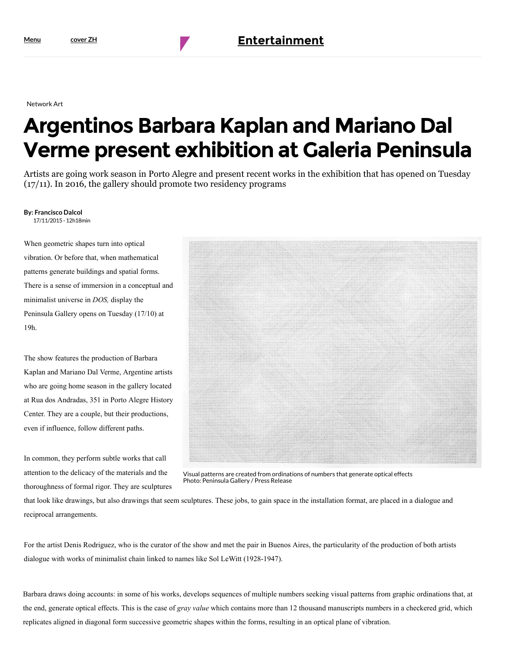Network Art

## Argentinos Barbara Kaplan and Mariano Dal Verme present exhibition at Galeria Peninsula

Artists are going work season in Porto Alegre and present recent works in the exhibition that has opened on Tuesday (17/11). In 2016, the gallery should promote two residency programs

## By: Francisco Dalcol

17/11/2015 - 12h18min

When geometric shapes turn into optical vibration. Or before that, when mathematical patterns generate buildings and spatial forms. There is a sense of immersion in a conceptual and minimalist universe in DOS, display the Peninsula Gallery opens on Tuesday (17/10) at 19h.

The show features the production of Barbara Kaplan and Mariano Dal Verme, Argentine artists who are going home season in the gallery located at Rua dos Andradas, 351 in Porto Alegre History Center. They are a couple, but their productions, even if influence, follow different paths.

In common, they perform subtle works that call attention to the delicacy of the materials and the thoroughness of formal rigor. They are sculptures



Visual patterns are created from ordinations of numbers that generate optical effects Photo: Peninsula Gallery / Press Release

that look like drawings, but also drawings that seem sculptures. These jobs, to gain space in the installation format, are placed in a dialogue and reciprocal arrangements.

For the artist Denis Rodriguez, who is the curator of the show and met the pair in Buenos Aires, the particularity of the production of both artists dialogue with works of minimalist chain linked to names like Sol LeWitt (1928-1947).

[Barbara draws doing accounts: in so](ttp://zh.clicrbs.com.br/rs/entretenimento/noticia/2015/11/exposicao-de-nuno-ramos-na-casa-das-artes-em-canoas-4901153.html)me of his works, develops sequences of multiple numbers seeking visual patterns from graphic ordinations that, at [the end, generate optical effects. This is the ca](https://translate.googleusercontent.com/translate_c?depth=1&hl=en&prev=search&rurl=translate.google.com&sl=pt-BR&u=http://zh.clicrbs.com.br/rs/entretenimento/ultimas-noticias/tag/bienal-do-mercosul/&usg=ALkJrhhQuuqg-2PdisbhK_aWgzBOdpru_w)se of gray value which contains more than 12 thousand manuscripts numbers in a checkered grid, which replicates aligned in diagonal form successive geometric shapes within the forms, resulting in an optical plane of vibration.